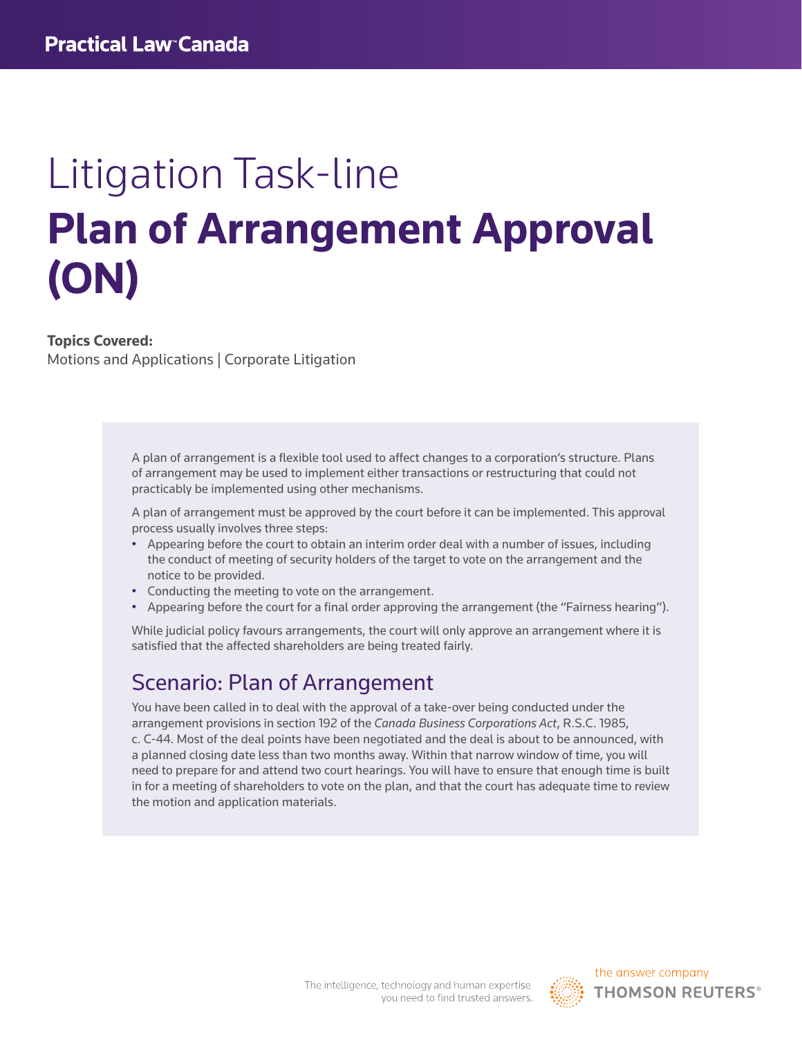# Litigation Task-line **Plan of Arrangement Approval (ON)**

#### **Topics Covered:**

Motions and Applications | Corporate Litigation

A plan of arrangement is a flexible tool used to affect changes to a corporation's structure. Plans of arrangement may be used to implement either transactions or restructuring that could not practicably be implemented using other mechanisms.

A plan of arrangement must be approved by the court before it can be implemented. This approval process usually involves three steps:

- Appearing before the court to obtain an interim order deal with a number of issues, including the conduct of meeting of security holders of the target to vote on the arrangement and the notice to be provided.
- Conducting the meeting to vote on the arrangement.
- Appearing before the court for a final order approving the arrangement (the "Fairness hearing").

While judicial policy favours arrangements, the court will only approve an arrangement where it is satisfied that the affected shareholders are being treated fairly.

## Scenario: Plan of Arrangement

You have been called in to deal with the approval of a take-over being conducted under the arrangement provisions in section 192 of the *Canada Business Corporations Act*, R.S.C. 1985, c. C-44. Most of the deal points have been negotiated and the deal is about to be announced, with a planned closing date less than two months away. Within that narrow window of time, you will need to prepare for and attend two court hearings. You will have to ensure that enough time is built in for a meeting of shareholders to vote on the plan, and that the court has adequate time to review the motion and application materials.